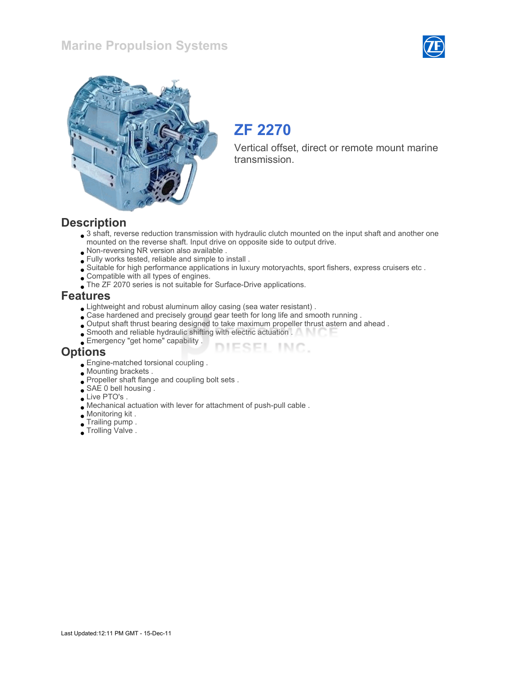



# ZF 2270

Vertical offset, direct or remote mount marine transmission.

### **Description**

 $\bullet$  3 shaft, reverse reduction transmission with hydraulic clutch mounted on the input shaft and another one mounted on the reverse shaft. Input drive on opposite side to output drive.

DIESEL INC.

- Non-reversing NR version also available .
- Fully works tested, reliable and simple to install .
- Suitable for high performance applications in luxury motoryachts, sport fishers, express cruisers etc .
- Compatible with all types of engines.
- The ZF 2070 series is not suitable for Surface-Drive applications.

#### Features

- Lightweight and robust aluminum alloy casing (sea water resistant) .
- Case hardened and precisely ground gear teeth for long life and smooth running .
- Output shaft thrust bearing designed to take maximum propeller thrust astern and ahead .
- Smooth and reliable hydraulic shifting with electric actuation .
- Emergency "get home" capability .

#### **Options**

- Engine-matched torsional coupling .
- Mounting brackets .
- Propeller shaft flange and coupling bolt sets.
- SAE 0 bell housing .
- Live PTO's.
- Mechanical actuation with lever for attachment of push-pull cable .
- Monitoring kit .
- Trailing pump .
- Trolling Valve .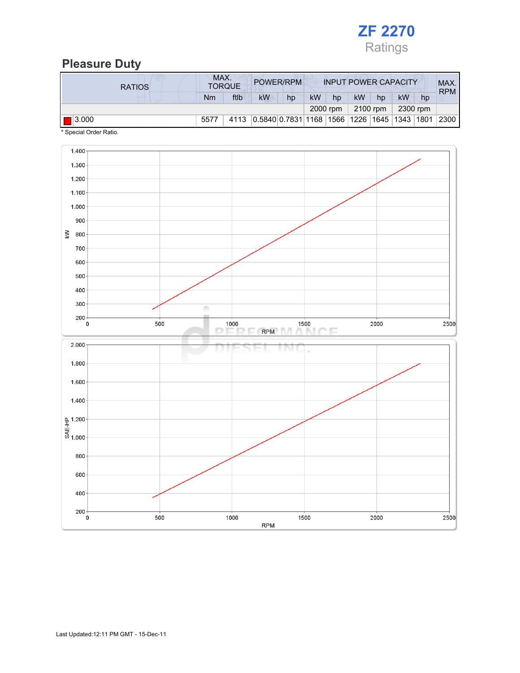

# Pleasure Duty

| <b>RATIOS</b>        | MAX.<br><b>TORQUE</b> |      | POWER/RPM                                      |    | <b>INPUT POWER CAPACITY</b> |          |           |    |          |    | MAX.<br><b>RPM</b> |
|----------------------|-----------------------|------|------------------------------------------------|----|-----------------------------|----------|-----------|----|----------|----|--------------------|
|                      | Nm                    | ftlb | <b>kW</b>                                      | hp | <b>kW</b>                   | hp       | <b>kW</b> | hp | kW       | hp |                    |
|                      |                       |      |                                                |    |                             | 2000 rpm | 2100 rpm  |    | 2300 rpm |    |                    |
| $\blacksquare$ 3.000 | 5577                  | 4113 | $ 0.5840 0.7831 1168 1566 1226 1645 1343 1801$ |    |                             |          |           |    |          |    | 2300               |

\* Special Order Ratio.

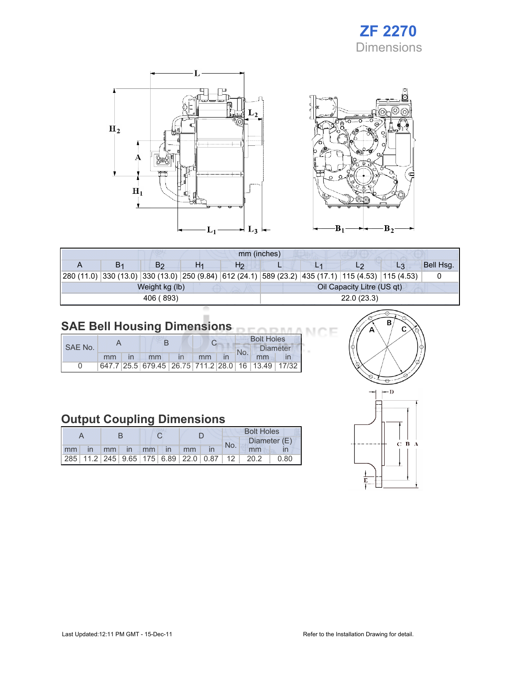# ZF 2270 **Dimensions**



| mm (inches) |    |                |    |                |                            |  |  |                                                                                                            |           |  |  |
|-------------|----|----------------|----|----------------|----------------------------|--|--|------------------------------------------------------------------------------------------------------------|-----------|--|--|
|             | В1 | B <sub>2</sub> | H1 | H <sub>2</sub> |                            |  |  | $L_3$                                                                                                      | Bell Hsg. |  |  |
|             |    |                |    |                |                            |  |  | 280 (11.0)  330 (13.0)  330 (13.0)  250 (9.84)  612 (24.1)  589 (23.2)  435 (17.1)  115 (4.53)  115 (4.53) |           |  |  |
|             |    | Weight kg (lb) |    |                | Oil Capacity Litre (US qt) |  |  |                                                                                                            |           |  |  |
|             |    | 406 (893)      |    |                | 22.0(23.3)                 |  |  |                                                                                                            |           |  |  |
|             |    |                |    |                |                            |  |  |                                                                                                            |           |  |  |

### SAE Bell Housing Dimensions

|         |    |  |                                                   |  |    |  | <b>Bolt Holes</b> |                 |  |  |
|---------|----|--|---------------------------------------------------|--|----|--|-------------------|-----------------|--|--|
| SAE No. |    |  |                                                   |  |    |  | No.               | <b>Diameter</b> |  |  |
|         | mm |  | mm                                                |  | mm |  |                   | mm              |  |  |
|         |    |  | 647.7 25.5 679.45 26.75 711.2 28.0 16 13.49 17/32 |  |    |  |                   |                 |  |  |

# Output Coupling Dimensions

|    |           |  |  |                                   |    | <b>Bolt Holes</b> |     |                                                                                                                              |      |  |
|----|-----------|--|--|-----------------------------------|----|-------------------|-----|------------------------------------------------------------------------------------------------------------------------------|------|--|
|    |           |  |  |                                   |    |                   |     | Diameter (E)                                                                                                                 |      |  |
| mm | <i>in</i> |  |  | $\mathsf{mm}$ in $\mathsf{mm}$ in | mm |                   | No. | mm                                                                                                                           |      |  |
|    |           |  |  |                                   |    |                   |     | $\vert$ 285 $\vert$ 11.2 $\vert$ 245 $\vert$ 9.65 $\vert$ 175 $\vert$ 6.89 $\vert$ 22.0 $\vert$ 0.87 $\vert$ 12 $\vert$ 20.2 | 0.80 |  |